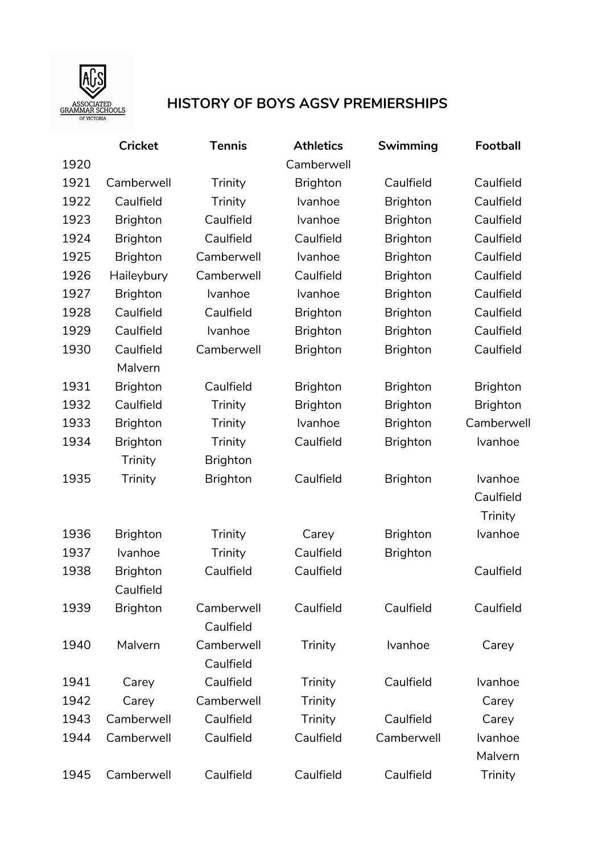

## **HISTORY OF BOYS AGSV PREMIERSHIPS**

|      | <b>Cricket</b>  | <b>Tennis</b>   | <b>Athletics</b> | Swimming        | <b>Football</b> |
|------|-----------------|-----------------|------------------|-----------------|-----------------|
| 1920 |                 |                 | Camberwell       |                 |                 |
| 1921 | Camberwell      | Trinity         | <b>Brighton</b>  | Caulfield       | Caulfield       |
| 1922 | Caulfield       | Trinity         | Ivanhoe          | <b>Brighton</b> | Caulfield       |
| 1923 | <b>Brighton</b> | Caulfield       | Ivanhoe          | <b>Brighton</b> | Caulfield       |
| 1924 | <b>Brighton</b> | Caulfield       | Caulfield        | <b>Brighton</b> | Caulfield       |
| 1925 | <b>Brighton</b> | Camberwell      | Ivanhoe          | <b>Brighton</b> | Caulfield       |
| 1926 | Haileybury      | Camberwell      | Caulfield        | <b>Brighton</b> | Caulfield       |
| 1927 | <b>Brighton</b> | Ivanhoe         | Ivanhoe          | <b>Brighton</b> | Caulfield       |
| 1928 | Caulfield       | Caulfield       | <b>Brighton</b>  | <b>Brighton</b> | Caulfield       |
| 1929 | Caulfield       | Ivanhoe         | <b>Brighton</b>  | <b>Brighton</b> | Caulfield       |
| 1930 | Caulfield       | Camberwell      | <b>Brighton</b>  | <b>Brighton</b> | Caulfield       |
|      | Malvern         |                 |                  |                 |                 |
| 1931 | <b>Brighton</b> | Caulfield       | <b>Brighton</b>  | <b>Brighton</b> | <b>Brighton</b> |
| 1932 | Caulfield       | Trinity         | <b>Brighton</b>  | <b>Brighton</b> | <b>Brighton</b> |
| 1933 | <b>Brighton</b> | Trinity         | Ivanhoe          | <b>Brighton</b> | Camberwell      |
| 1934 | <b>Brighton</b> | Trinity         | Caulfield        | <b>Brighton</b> | Ivanhoe         |
|      | Trinity         | <b>Brighton</b> |                  |                 |                 |
| 1935 | Trinity         | <b>Brighton</b> | Caulfield        | <b>Brighton</b> | Ivanhoe         |
|      |                 |                 |                  |                 | Caulfield       |
|      |                 |                 |                  |                 | Trinity         |
| 1936 | <b>Brighton</b> | Trinity         | Carey            | <b>Brighton</b> | Ivanhoe         |
| 1937 | Ivanhoe         | Trinity         | Caulfield        | <b>Brighton</b> |                 |
| 1938 | <b>Brighton</b> | Caulfield       | Caulfield        |                 | Caulfield       |
|      | Caulfield       |                 |                  |                 |                 |
| 1939 | <b>Brighton</b> | Camberwell      | Caulfield        | Caulfield       | Caulfield       |
|      |                 | Caulfield       |                  |                 |                 |
| 1940 | Malvern         | Camberwell      | Trinity          | Ivanhoe         | Carey           |
|      |                 | Caulfield       |                  |                 |                 |
| 1941 | Carey           | Caulfield       | Trinity          | Caulfield       | Ivanhoe         |
| 1942 | Carey           | Camberwell      | Trinity          |                 | Carey           |
| 1943 | Camberwell      | Caulfield       | Trinity          | Caulfield       | Carey           |
| 1944 | Camberwell      | Caulfield       | Caulfield        | Camberwell      | Ivanhoe         |
|      |                 |                 |                  |                 | Malvern         |
| 1945 | Camberwell      | Caulfield       | Caulfield        | Caulfield       | Trinity         |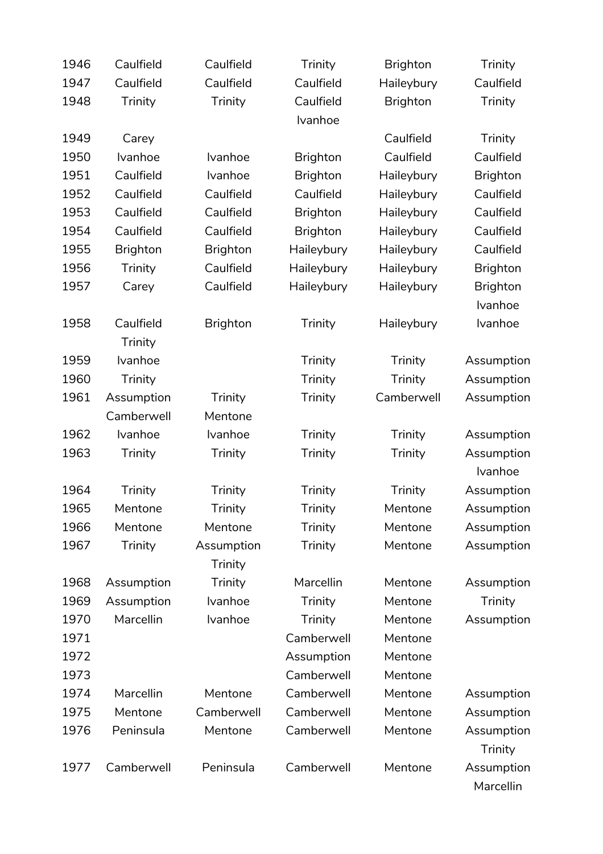| 1946 | Caulfield       | Caulfield       | Trinity         | <b>Brighton</b> | Trinity                 |
|------|-----------------|-----------------|-----------------|-----------------|-------------------------|
| 1947 | Caulfield       | Caulfield       | Caulfield       | Haileybury      | Caulfield               |
| 1948 | Trinity         | Trinity         | Caulfield       | <b>Brighton</b> | Trinity                 |
|      |                 |                 | Ivanhoe         |                 |                         |
| 1949 | Carey           |                 |                 | Caulfield       | Trinity                 |
| 1950 | Ivanhoe         | Ivanhoe         | <b>Brighton</b> | Caulfield       | Caulfield               |
| 1951 | Caulfield       | Ivanhoe         | <b>Brighton</b> | Haileybury      | <b>Brighton</b>         |
| 1952 | Caulfield       | Caulfield       | Caulfield       | Haileybury      | Caulfield               |
| 1953 | Caulfield       | Caulfield       | <b>Brighton</b> | Haileybury      | Caulfield               |
| 1954 | Caulfield       | Caulfield       | <b>Brighton</b> | Haileybury      | Caulfield               |
| 1955 | <b>Brighton</b> | <b>Brighton</b> | Haileybury      | Haileybury      | Caulfield               |
| 1956 | Trinity         | Caulfield       | Haileybury      | Haileybury      | <b>Brighton</b>         |
| 1957 | Carey           | Caulfield       | Haileybury      | Haileybury      | <b>Brighton</b>         |
|      |                 |                 |                 |                 | Ivanhoe                 |
| 1958 | Caulfield       | <b>Brighton</b> | Trinity         | Haileybury      | Ivanhoe                 |
|      | Trinity         |                 |                 |                 |                         |
| 1959 | Ivanhoe         |                 | Trinity         | Trinity         | Assumption              |
| 1960 | Trinity         |                 | Trinity         | Trinity         | Assumption              |
| 1961 | Assumption      | Trinity         | Trinity         | Camberwell      | Assumption              |
|      | Camberwell      | Mentone         |                 |                 |                         |
| 1962 | Ivanhoe         | Ivanhoe         | Trinity         | Trinity         | Assumption              |
| 1963 | Trinity         | Trinity         | Trinity         | Trinity         | Assumption              |
|      |                 |                 |                 |                 | Ivanhoe                 |
| 1964 | Trinity         | Trinity         | Trinity         | Trinity         | Assumption              |
| 1965 | Mentone         | Trinity         | Trinity         | Mentone         | Assumption              |
| 1966 | Mentone         | Mentone         | Trinity         | Mentone         | Assumption              |
| 1967 | Trinity         | Assumption      | Trinity         | Mentone         | Assumption              |
|      |                 | Trinity         |                 |                 |                         |
| 1968 | Assumption      | Trinity         | Marcellin       | Mentone         | Assumption              |
| 1969 | Assumption      | Ivanhoe         | Trinity         | Mentone         | Trinity                 |
| 1970 | Marcellin       | Ivanhoe         | Trinity         | Mentone         | Assumption              |
| 1971 |                 |                 | Camberwell      | Mentone         |                         |
| 1972 |                 |                 | Assumption      | Mentone         |                         |
| 1973 |                 |                 | Camberwell      | Mentone         |                         |
| 1974 | Marcellin       | Mentone         | Camberwell      | Mentone         | Assumption              |
| 1975 | Mentone         | Camberwell      | Camberwell      | Mentone         | Assumption              |
| 1976 | Peninsula       | Mentone         | Camberwell      | Mentone         | Assumption<br>Trinity   |
| 1977 | Camberwell      | Peninsula       | Camberwell      | Mentone         | Assumption<br>Marcellin |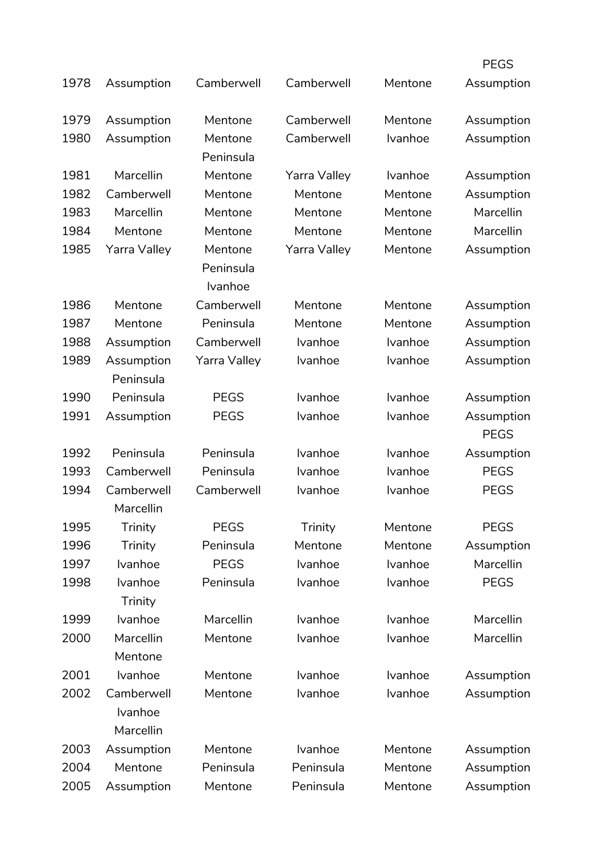|      |                         |                                 |              |         | <b>PEGS</b>               |
|------|-------------------------|---------------------------------|--------------|---------|---------------------------|
| 1978 | Assumption              | Camberwell                      | Camberwell   | Mentone | Assumption                |
| 1979 | Assumption              | Mentone                         | Camberwell   | Mentone | Assumption                |
| 1980 | Assumption              | Mentone<br>Peninsula            | Camberwell   | Ivanhoe | Assumption                |
| 1981 | Marcellin               | Mentone                         | Yarra Valley | Ivanhoe | Assumption                |
| 1982 | Camberwell              | Mentone                         | Mentone      | Mentone | Assumption                |
| 1983 | Marcellin               | Mentone                         | Mentone      | Mentone | Marcellin                 |
| 1984 | Mentone                 | Mentone                         | Mentone      | Mentone | Marcellin                 |
| 1985 | Yarra Valley            | Mentone<br>Peninsula<br>Ivanhoe | Yarra Valley | Mentone | Assumption                |
| 1986 | Mentone                 | Camberwell                      | Mentone      | Mentone | Assumption                |
| 1987 | Mentone                 | Peninsula                       | Mentone      | Mentone | Assumption                |
| 1988 | Assumption              | Camberwell                      | Ivanhoe      | Ivanhoe | Assumption                |
| 1989 | Assumption              | Yarra Valley                    | Ivanhoe      | Ivanhoe | Assumption                |
|      | Peninsula               |                                 |              |         |                           |
| 1990 | Peninsula               | <b>PEGS</b>                     | Ivanhoe      | Ivanhoe | Assumption                |
| 1991 | Assumption              | <b>PEGS</b>                     | Ivanhoe      | Ivanhoe | Assumption<br><b>PEGS</b> |
| 1992 | Peninsula               | Peninsula                       | Ivanhoe      | Ivanhoe | Assumption                |
| 1993 | Camberwell              | Peninsula                       | Ivanhoe      | Ivanhoe | <b>PEGS</b>               |
| 1994 | Camberwell<br>Marcellin | Camberwell                      | Ivanhoe      | Ivanhoe | <b>PEGS</b>               |
| 1995 | Trinity                 | <b>PEGS</b>                     | Trinity      | Mentone | <b>PEGS</b>               |
| 1996 | Trinity                 | Peninsula                       | Mentone      | Mentone | Assumption                |
| 1997 | Ivanhoe                 | <b>PEGS</b>                     | Ivanhoe      | Ivanhoe | Marcellin                 |
| 1998 | Ivanhoe<br>Trinity      | Peninsula                       | Ivanhoe      | Ivanhoe | <b>PEGS</b>               |
| 1999 | Ivanhoe                 | Marcellin                       | Ivanhoe      | Ivanhoe | Marcellin                 |
| 2000 | Marcellin<br>Mentone    | Mentone                         | Ivanhoe      | Ivanhoe | Marcellin                 |
| 2001 | Ivanhoe                 | Mentone                         | Ivanhoe      | Ivanhoe | Assumption                |
| 2002 | Camberwell              | Mentone                         | Ivanhoe      | Ivanhoe | Assumption                |
|      | Ivanhoe<br>Marcellin    |                                 |              |         |                           |
| 2003 | Assumption              | Mentone                         | Ivanhoe      | Mentone | Assumption                |
| 2004 | Mentone                 | Peninsula                       | Peninsula    | Mentone | Assumption                |
| 2005 | Assumption              | Mentone                         | Peninsula    | Mentone | Assumption                |